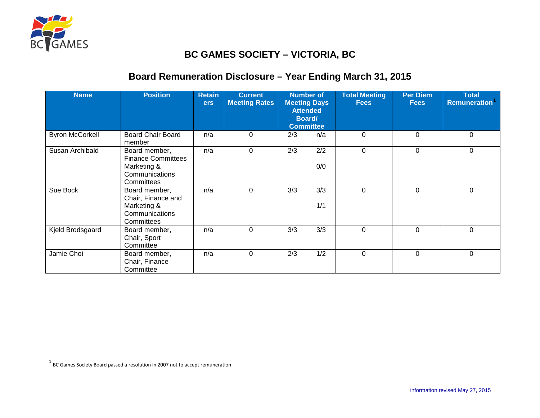

 $\overline{a}$ 

## <span id="page-0-0"></span>**BC GAMES SOCIETY – VICTORIA, BC**

## **Board Remuneration Disclosure – Year Ending March 31, 2015**

| <b>Name</b>            | <b>Position</b>                                                                           | <b>Retain</b><br><b>ers</b> | <b>Current</b><br><b>Meeting Rates</b> | <b>Number of</b><br><b>Meeting Days</b><br><b>Attended</b><br>Board/<br><b>Committee</b> |            | <b>Total Meeting</b><br><b>Fees</b> | <b>Per Diem</b><br><b>Fees</b> | <b>Total</b><br><b>Remuneration</b> |
|------------------------|-------------------------------------------------------------------------------------------|-----------------------------|----------------------------------------|------------------------------------------------------------------------------------------|------------|-------------------------------------|--------------------------------|-------------------------------------|
| <b>Byron McCorkell</b> | <b>Board Chair Board</b><br>member                                                        | n/a                         | $\Omega$                               | 2/3                                                                                      | n/a        | 0                                   | $\Omega$                       | 0                                   |
| Susan Archibald        | Board member,<br><b>Finance Committees</b><br>Marketing &<br>Communications<br>Committees | n/a                         | 0                                      | 2/3                                                                                      | 2/2<br>0/0 | 0                                   | 0                              | 0                                   |
| Sue Bock               | Board member,<br>Chair, Finance and<br>Marketing &<br>Communications<br>Committees        | n/a                         | $\Omega$                               | 3/3                                                                                      | 3/3<br>1/1 | $\Omega$                            | $\Omega$                       | 0                                   |
| Kjeld Brodsgaard       | Board member,<br>Chair, Sport<br>Committee                                                | n/a                         | $\Omega$                               | 3/3                                                                                      | 3/3        | $\mathbf 0$                         | 0                              | 0                                   |
| Jamie Choi             | Board member,<br>Chair, Finance<br>Committee                                              | n/a                         | $\Omega$                               | 2/3                                                                                      | 1/2        | 0                                   | $\Omega$                       | 0                                   |

 $^{\rm 1}$  BC Games Society Board passed a resolution in 2007 not to accept remuneration